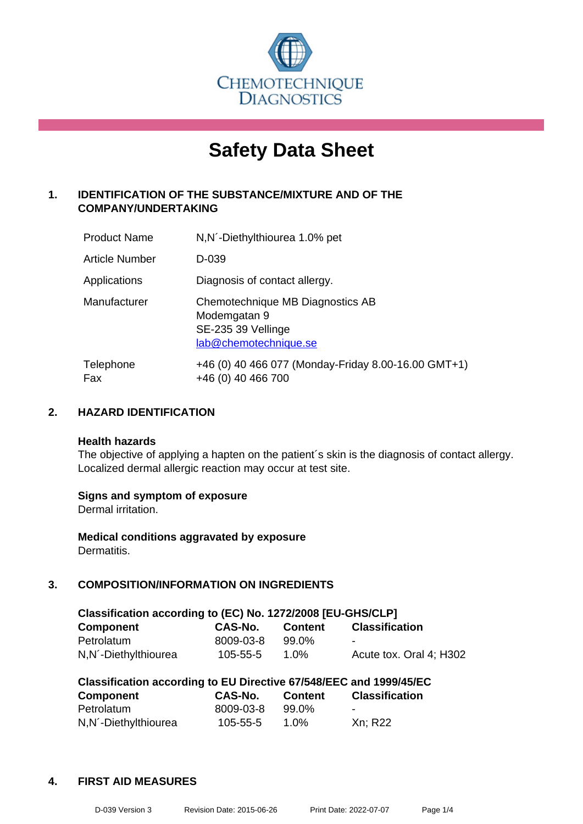

# **Safety Data Sheet**

# **1. IDENTIFICATION OF THE SUBSTANCE/MIXTURE AND OF THE COMPANY/UNDERTAKING**

| <b>Product Name</b>   | N, N - Diethylthiourea 1.0% pet                                                                 |
|-----------------------|-------------------------------------------------------------------------------------------------|
| <b>Article Number</b> | D-039                                                                                           |
| Applications          | Diagnosis of contact allergy.                                                                   |
| Manufacturer          | Chemotechnique MB Diagnostics AB<br>Modemgatan 9<br>SE-235 39 Vellinge<br>lab@chemotechnique.se |
| Telephone<br>Fax      | +46 (0) 40 466 077 (Monday-Friday 8.00-16.00 GMT+1)<br>+46 (0) 40 466 700                       |

#### **2. HAZARD IDENTIFICATION**

#### **Health hazards**

The objective of applying a hapten on the patient's skin is the diagnosis of contact allergy. Localized dermal allergic reaction may occur at test site.

#### **Signs and symptom of exposure**

Dermal irritation.

**Medical conditions aggravated by exposure** Dermatitis.

# **3. COMPOSITION/INFORMATION ON INGREDIENTS**

| Classification according to (EC) No. 1272/2008 [EU-GHS/CLP] |           |                |                         |  |  |
|-------------------------------------------------------------|-----------|----------------|-------------------------|--|--|
| <b>Component</b>                                            | CAS-No.   | <b>Content</b> | <b>Classification</b>   |  |  |
| Petrolatum                                                  | 8009-03-8 | 99.0%          | -                       |  |  |
| N, N´-Diethylthiourea                                       | 105-55-5  | 1.0%           | Acute tox. Oral 4: H302 |  |  |

| Classification according to EU Directive 67/548/EEC and 1999/45/EC |           |                |                       |  |  |
|--------------------------------------------------------------------|-----------|----------------|-----------------------|--|--|
| <b>Component</b>                                                   | CAS-No.   | <b>Content</b> | <b>Classification</b> |  |  |
| Petrolatum                                                         | 8009-03-8 | 99.0%          | $\blacksquare$        |  |  |
| N, N <sup>'</sup> -Diethylthiourea                                 | 105-55-5  | 1.0%           | Xn; R22               |  |  |

#### **4. FIRST AID MEASURES**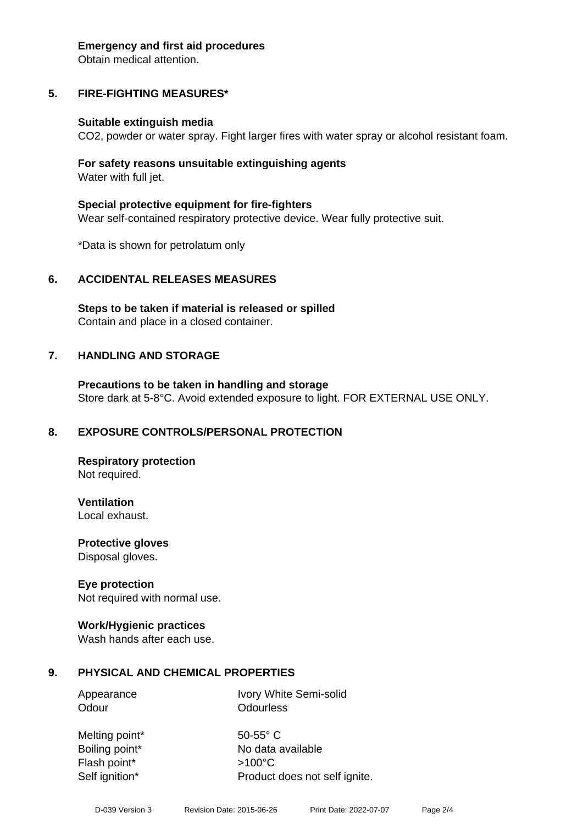#### **Emergency and first aid procedures**

Obtain medical attention.

# **5. FIRE-FIGHTING MEASURES\***

#### **Suitable extinguish media**

CO2, powder or water spray. Fight larger fires with water spray or alcohol resistant foam.

#### **For safety reasons unsuitable extinguishing agents** Water with full jet.

**Special protective equipment for fire-fighters**

Wear self-contained respiratory protective device. Wear fully protective suit.

\*Data is shown for petrolatum only

# **6. ACCIDENTAL RELEASES MEASURES**

**Steps to be taken if material is released or spilled** Contain and place in a closed container.

#### **7. HANDLING AND STORAGE**

**Precautions to be taken in handling and storage** Store dark at 5-8°C. Avoid extended exposure to light. FOR EXTERNAL USE ONLY.

#### **8. EXPOSURE CONTROLS/PERSONAL PROTECTION**

**Respiratory protection** Not required.

**Ventilation**

Local exhaust.

**Protective gloves** Disposal gloves.

#### **Eye protection**

Not required with normal use.

#### **Work/Hygienic practices**

Wash hands after each use.

#### **9. PHYSICAL AND CHEMICAL PROPERTIES**

Appearance Ivory White Semi-solid Odour **Odourless** 

Melting point\* 50-55° C Boiling point\* No data available Flash point\* >100°C Self ignition\* Product does not self ignite.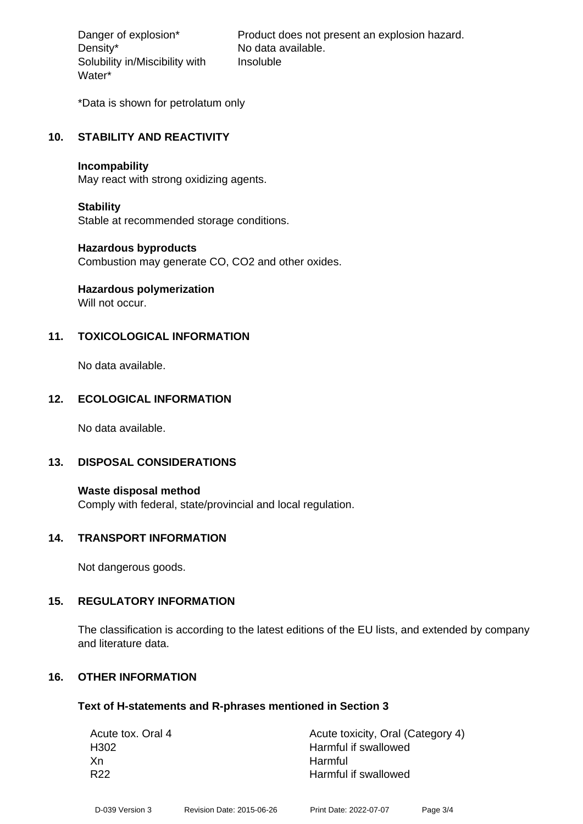Density\* No data available. Solubility in/Miscibility with Water\*

Danger of explosion\* Product does not present an explosion hazard. Insoluble

\*Data is shown for petrolatum only

#### **10. STABILITY AND REACTIVITY**

#### **Incompability**

May react with strong oxidizing agents.

#### **Stability**

Stable at recommended storage conditions.

#### **Hazardous byproducts**

Combustion may generate CO, CO2 and other oxides.

# **Hazardous polymerization**

Will not occur.

# **11. TOXICOLOGICAL INFORMATION**

No data available.

# **12. ECOLOGICAL INFORMATION**

No data available.

#### **13. DISPOSAL CONSIDERATIONS**

**Waste disposal method** Comply with federal, state/provincial and local regulation.

#### **14. TRANSPORT INFORMATION**

Not dangerous goods.

#### **15. REGULATORY INFORMATION**

The classification is according to the latest editions of the EU lists, and extended by company and literature data.

# **16. OTHER INFORMATION**

#### **Text of H-statements and R-phrases mentioned in Section 3**

| Acute tox. Oral 4 | Acute toxicity, Oral (Category 4) |
|-------------------|-----------------------------------|
| H302              | Harmful if swallowed              |
| Xn                | Harmful                           |
| R <sub>22</sub>   | Harmful if swallowed              |
|                   |                                   |